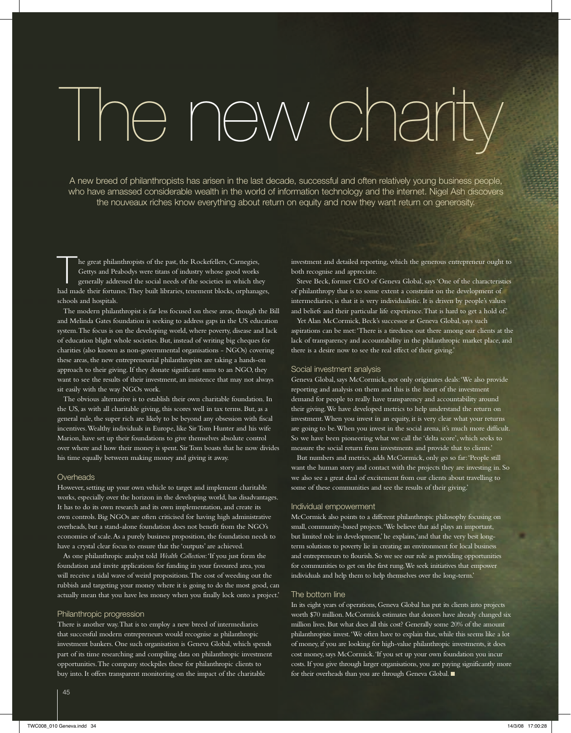# The new charity

A new breed of philanthropists has arisen in the last decade, successful and often relatively young business people, who have amassed considerable wealth in the world of information technology and the internet. Nigel Ash discovers the nouveaux riches know everything about return on equity and now they want return on generosity.

The great philanthropists of the past, the Rockefellers, Carnegies,<br>
Gettys and Peabodys were titans of industry whose good works<br>
generally addressed the social needs of the societies in which they<br>
had mode their feature Gettys and Peabodys were titans of industry whose good works had made their fortunes. They built libraries, tenement blocks, orphanages, schools and hospitals.

The modern philanthropist is far less focused on these areas, though the Bill and Melinda Gates foundation is seeking to address gaps in the US education system. The focus is on the developing world, where poverty, disease and lack of education blight whole societies. But, instead of writing big cheques for charities (also known as non-governmental organisations - NGOs) covering these areas, the new entrepreneurial philanthropists are taking a hands-on approach to their giving. If they donate significant sums to an NGO, they want to see the results of their investment, an insistence that may not always sit easily with the way NGOs work.

The obvious alternative is to establish their own charitable foundation. In the US, as with all charitable giving, this scores well in tax terms. But, as a general rule, the super rich are likely to be beyond any obsession with fiscal incentives. Wealthy individuals in Europe, like Sir Tom Hunter and his wife Marion, have set up their foundations to give themselves absolute control over where and how their money is spent. Sir Tom boasts that he now divides his time equally between making money and giving it away.

# Overheads

However, setting up your own vehicle to target and implement charitable works, especially over the horizon in the developing world, has disadvantages. It has to do its own research and its own implementation, and create its own controls. Big NGOs are often criticised for having high administrative overheads, but a stand-alone foundation does not benefit from the NGO's economies of scale. As a purely business proposition, the foundation needs to have a crystal clear focus to ensure that the 'outputs' are achieved.

As one philanthropic analyst told *Wealth Collection*: 'If you just form the foundation and invite applications for funding in your favoured area, you will receive a tidal wave of weird propositions. The cost of weeding out the rubbish and targeting your money where it is going to do the most good, can actually mean that you have less money when you finally lock onto a project.'

### Philanthropic progression

There is another way. That is to employ a new breed of intermediaries that successful modern entrepreneurs would recognise as philanthropic investment bankers. One such organisation is Geneva Global, which spends part of its time researching and compiling data on philanthropic investment opportunities. The company stockpiles these for philanthropic clients to buy into. It offers transparent monitoring on the impact of the charitable

investment and detailed reporting, which the generous entrepreneur ought to both recognise and appreciate.

Steve Beck, former CEO of Geneva Global, says 'One of the characteristics of philanthropy that is to some extent a constraint on the development of intermediaries, is that it is very individualistic. It is driven by people's values and beliefs and their particular life experience. That is hard to get a hold of.'

Yet Alan McCormick, Beck's successor at Geneva Global, says such aspirations can be met: 'There is a tiredness out there among our clients at the lack of transparency and accountability in the philanthropic market place, and there is a desire now to see the real effect of their giving.'

### Social investment analysis

Geneva Global, says McCormick, not only originates deals: 'We also provide reporting and analysis on them and this is the heart of the investment demand for people to really have transparency and accountability around their giving. We have developed metrics to help understand the return on investment. When you invest in an equity, it is very clear what your returns are going to be. When you invest in the social arena, it's much more difficult. So we have been pioneering what we call the 'delta score', which seeks to measure the social return from investments and provide that to clients.'

But numbers and metrics, adds McCormick, only go so far: 'People still want the human story and contact with the projects they are investing in. So we also see a great deal of excitement from our clients about travelling to some of these communities and see the results of their giving.'

# Individual empowerment

McCormick also points to a different philanthropic philosophy focusing on small, community-based projects. 'We believe that aid plays an important, but limited role in development,' he explains,'and that the very best longterm solutions to poverty lie in creating an environment for local business and entrepreneurs to flourish. So we see our role as providing opportunities for communities to get on the first rung. We seek initiatives that empower individuals and help them to help themselves over the long-term.'

# The bottom line

In its eight years of operations, Geneva Global has put its clients into projects worth \$70 million. McCormick estimates that donors have already changed six million lives. But what does all this cost? Generally some 20% of the amount philanthropists invest. 'We often have to explain that, while this seems like a lot of money, if you are looking for high-value philanthropic investments, it does cost money, says McCormick. 'If you set up your own foundation you incur costs. If you give through larger organisations, you are paying significantly more for their overheads than you are through Geneva Global. ■